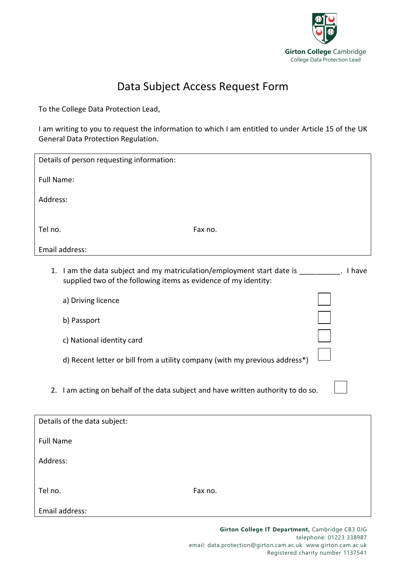

## Data Subject Access Request Form

To the College Data Protection Lead,

I am writing to you to request the information to which I am entitled to under Article 15 of the UK General Data Protection Regulation.

| Details of person requesting information: |                                                                                                                                                       |
|-------------------------------------------|-------------------------------------------------------------------------------------------------------------------------------------------------------|
| <b>Full Name:</b>                         |                                                                                                                                                       |
| Address:                                  |                                                                                                                                                       |
|                                           |                                                                                                                                                       |
| Tel no.                                   | Fax no.                                                                                                                                               |
|                                           | Email address:                                                                                                                                        |
|                                           | 1. I am the data subject and my matriculation/employment start date is<br>. I have<br>supplied two of the following items as evidence of my identity: |
|                                           | a) Driving licence                                                                                                                                    |
|                                           | b) Passport                                                                                                                                           |
|                                           | c) National identity card                                                                                                                             |
|                                           | d) Recent letter or bill from a utility company (with my previous address*)                                                                           |
|                                           | 2. I am acting on behalf of the data subject and have written authority to do so.                                                                     |
| Details of the data subject:              |                                                                                                                                                       |

Full Name

Address:

Tel no. Fax no.

Email address: